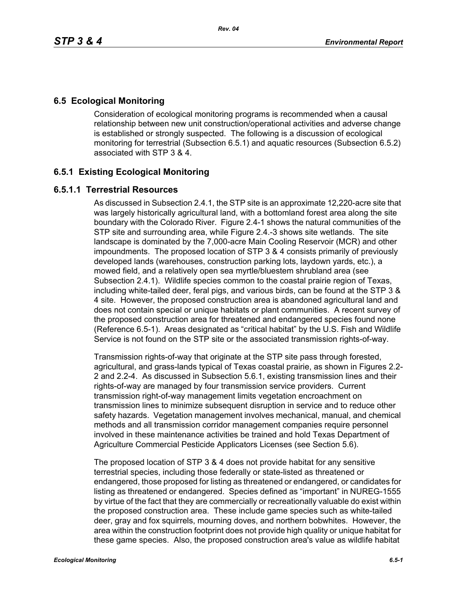# **6.5 Ecological Monitoring**

Consideration of ecological monitoring programs is recommended when a causal relationship between new unit construction/operational activities and adverse change is established or strongly suspected. The following is a discussion of ecological monitoring for terrestrial (Subsection 6.5.1) and aquatic resources (Subsection 6.5.2) associated with STP 3 & 4.

# **6.5.1 Existing Ecological Monitoring**

### **6.5.1.1 Terrestrial Resources**

As discussed in Subsection 2.4.1, the STP site is an approximate 12,220-acre site that was largely historically agricultural land, with a bottomland forest area along the site boundary with the Colorado River. Figure 2.4-1 shows the natural communities of the STP site and surrounding area, while Figure 2.4.-3 shows site wetlands. The site landscape is dominated by the 7,000-acre Main Cooling Reservoir (MCR) and other impoundments. The proposed location of STP 3 & 4 consists primarily of previously developed lands (warehouses, construction parking lots, laydown yards, etc.), a mowed field, and a relatively open sea myrtle/bluestem shrubland area (see Subsection 2.4.1). Wildlife species common to the coastal prairie region of Texas, including white-tailed deer, feral pigs, and various birds, can be found at the STP 3 & 4 site. However, the proposed construction area is abandoned agricultural land and does not contain special or unique habitats or plant communities. A recent survey of the proposed construction area for threatened and endangered species found none (Reference 6.5-1). Areas designated as "critical habitat" by the U.S. Fish and Wildlife Service is not found on the STP site or the associated transmission rights-of-way.

Transmission rights-of-way that originate at the STP site pass through forested, agricultural, and grass-lands typical of Texas coastal prairie, as shown in Figures 2.2- 2 and 2.2-4. As discussed in Subsection 5.6.1, existing transmission lines and their rights-of-way are managed by four transmission service providers. Current transmission right-of-way management limits vegetation encroachment on transmission lines to minimize subsequent disruption in service and to reduce other safety hazards. Vegetation management involves mechanical, manual, and chemical methods and all transmission corridor management companies require personnel involved in these maintenance activities be trained and hold Texas Department of Agriculture Commercial Pesticide Applicators Licenses (see Section 5.6).

The proposed location of STP 3 & 4 does not provide habitat for any sensitive terrestrial species, including those federally or state-listed as threatened or endangered, those proposed for listing as threatened or endangered, or candidates for listing as threatened or endangered. Species defined as "important" in NUREG-1555 by virtue of the fact that they are commercially or recreationally valuable do exist within the proposed construction area. These include game species such as white-tailed deer, gray and fox squirrels, mourning doves, and northern bobwhites. However, the area within the construction footprint does not provide high quality or unique habitat for these game species. Also, the proposed construction area's value as wildlife habitat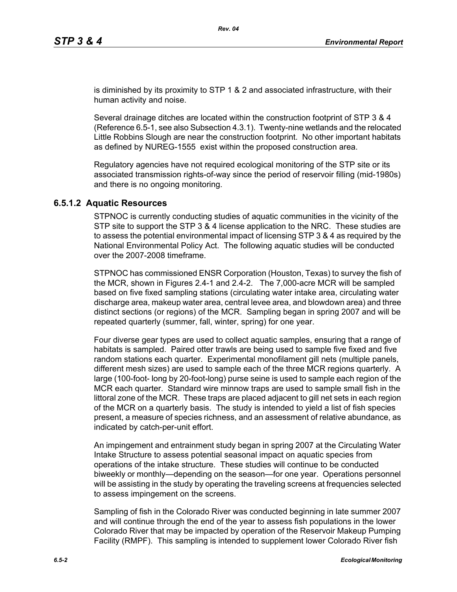is diminished by its proximity to STP 1 & 2 and associated infrastructure, with their human activity and noise.

Several drainage ditches are located within the construction footprint of STP 3 & 4 (Reference 6.5-1, see also Subsection 4.3.1). Twenty-nine wetlands and the relocated Little Robbins Slough are near the construction footprint. No other important habitats as defined by NUREG-1555 exist within the proposed construction area.

Regulatory agencies have not required ecological monitoring of the STP site or its associated transmission rights-of-way since the period of reservoir filling (mid-1980s) and there is no ongoing monitoring.

#### **6.5.1.2 Aquatic Resources**

STPNOC is currently conducting studies of aquatic communities in the vicinity of the STP site to support the STP 3 & 4 license application to the NRC. These studies are to assess the potential environmental impact of licensing STP 3 & 4 as required by the National Environmental Policy Act. The following aquatic studies will be conducted over the 2007-2008 timeframe.

STPNOC has commissioned ENSR Corporation (Houston, Texas) to survey the fish of the MCR, shown in Figures 2.4-1 and 2.4-2. The 7,000-acre MCR will be sampled based on five fixed sampling stations (circulating water intake area, circulating water discharge area, makeup water area, central levee area, and blowdown area) and three distinct sections (or regions) of the MCR. Sampling began in spring 2007 and will be repeated quarterly (summer, fall, winter, spring) for one year.

Four diverse gear types are used to collect aquatic samples, ensuring that a range of habitats is sampled. Paired otter trawls are being used to sample five fixed and five random stations each quarter. Experimental monofilament gill nets (multiple panels, different mesh sizes) are used to sample each of the three MCR regions quarterly. A large (100-foot- long by 20-foot-long) purse seine is used to sample each region of the MCR each quarter. Standard wire minnow traps are used to sample small fish in the littoral zone of the MCR. These traps are placed adjacent to gill net sets in each region of the MCR on a quarterly basis. The study is intended to yield a list of fish species present, a measure of species richness, and an assessment of relative abundance, as indicated by catch-per-unit effort.

An impingement and entrainment study began in spring 2007 at the Circulating Water Intake Structure to assess potential seasonal impact on aquatic species from operations of the intake structure. These studies will continue to be conducted biweekly or monthly—depending on the season—for one year. Operations personnel will be assisting in the study by operating the traveling screens at frequencies selected to assess impingement on the screens.

Sampling of fish in the Colorado River was conducted beginning in late summer 2007 and will continue through the end of the year to assess fish populations in the lower Colorado River that may be impacted by operation of the Reservoir Makeup Pumping Facility (RMPF). This sampling is intended to supplement lower Colorado River fish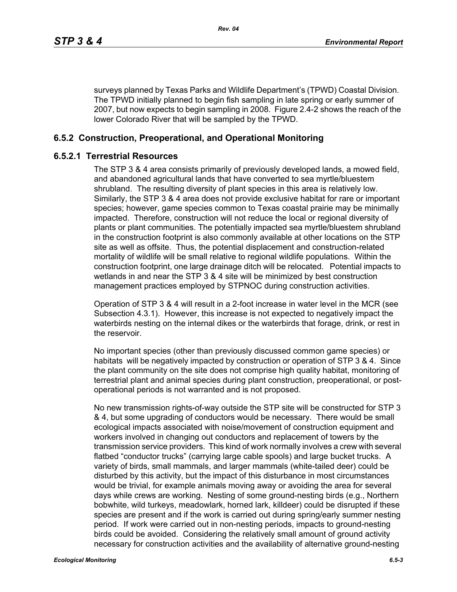surveys planned by Texas Parks and Wildlife Department's (TPWD) Coastal Division. The TPWD initially planned to begin fish sampling in late spring or early summer of 2007, but now expects to begin sampling in 2008. Figure 2.4-2 shows the reach of the lower Colorado River that will be sampled by the TPWD.

### **6.5.2 Construction, Preoperational, and Operational Monitoring**

### **6.5.2.1 Terrestrial Resources**

The STP 3 & 4 area consists primarily of previously developed lands, a mowed field, and abandoned agricultural lands that have converted to sea myrtle/bluestem shrubland. The resulting diversity of plant species in this area is relatively low. Similarly, the STP 3 & 4 area does not provide exclusive habitat for rare or important species; however, game species common to Texas coastal prairie may be minimally impacted. Therefore, construction will not reduce the local or regional diversity of plants or plant communities. The potentially impacted sea myrtle/bluestem shrubland in the construction footprint is also commonly available at other locations on the STP site as well as offsite. Thus, the potential displacement and construction-related mortality of wildlife will be small relative to regional wildlife populations. Within the construction footprint, one large drainage ditch will be relocated. Potential impacts to wetlands in and near the STP 3 & 4 site will be minimized by best construction management practices employed by STPNOC during construction activities.

Operation of STP 3 & 4 will result in a 2-foot increase in water level in the MCR (see Subsection 4.3.1). However, this increase is not expected to negatively impact the waterbirds nesting on the internal dikes or the waterbirds that forage, drink, or rest in the reservoir.

No important species (other than previously discussed common game species) or habitats will be negatively impacted by construction or operation of STP 3 & 4. Since the plant community on the site does not comprise high quality habitat, monitoring of terrestrial plant and animal species during plant construction, preoperational, or postoperational periods is not warranted and is not proposed.

No new transmission rights-of-way outside the STP site will be constructed for STP 3 & 4, but some upgrading of conductors would be necessary. There would be small ecological impacts associated with noise/movement of construction equipment and workers involved in changing out conductors and replacement of towers by the transmission service providers. This kind of work normally involves a crew with several flatbed "conductor trucks" (carrying large cable spools) and large bucket trucks. A variety of birds, small mammals, and larger mammals (white-tailed deer) could be disturbed by this activity, but the impact of this disturbance in most circumstances would be trivial, for example animals moving away or avoiding the area for several days while crews are working. Nesting of some ground-nesting birds (e.g., Northern bobwhite, wild turkeys, meadowlark, horned lark, killdeer) could be disrupted if these species are present and if the work is carried out during spring/early summer nesting period. If work were carried out in non-nesting periods, impacts to ground-nesting birds could be avoided. Considering the relatively small amount of ground activity necessary for construction activities and the availability of alternative ground-nesting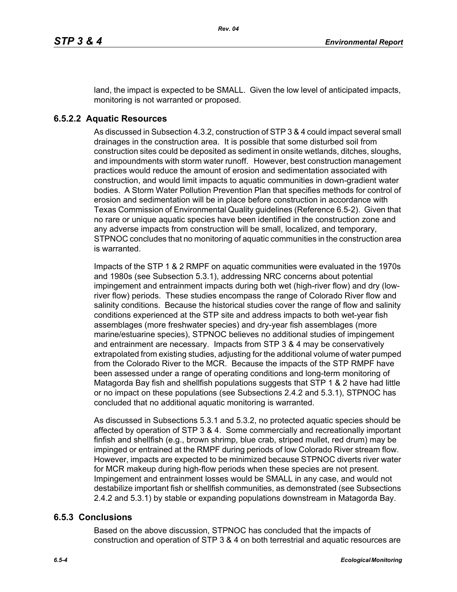land, the impact is expected to be SMALL. Given the low level of anticipated impacts, monitoring is not warranted or proposed.

### **6.5.2.2 Aquatic Resources**

As discussed in Subsection 4.3.2, construction of STP 3 & 4 could impact several small drainages in the construction area. It is possible that some disturbed soil from construction sites could be deposited as sediment in onsite wetlands, ditches, sloughs, and impoundments with storm water runoff. However, best construction management practices would reduce the amount of erosion and sedimentation associated with construction, and would limit impacts to aquatic communities in down-gradient water bodies. A Storm Water Pollution Prevention Plan that specifies methods for control of erosion and sedimentation will be in place before construction in accordance with Texas Commission of Environmental Quality guidelines (Reference 6.5-2). Given that no rare or unique aquatic species have been identified in the construction zone and any adverse impacts from construction will be small, localized, and temporary, STPNOC concludes that no monitoring of aquatic communities in the construction area is warranted.

Impacts of the STP 1 & 2 RMPF on aquatic communities were evaluated in the 1970s and 1980s (see Subsection 5.3.1), addressing NRC concerns about potential impingement and entrainment impacts during both wet (high-river flow) and dry (lowriver flow) periods. These studies encompass the range of Colorado River flow and salinity conditions. Because the historical studies cover the range of flow and salinity conditions experienced at the STP site and address impacts to both wet-year fish assemblages (more freshwater species) and dry-year fish assemblages (more marine/estuarine species), STPNOC believes no additional studies of impingement and entrainment are necessary. Impacts from STP 3 & 4 may be conservatively extrapolated from existing studies, adjusting for the additional volume of water pumped from the Colorado River to the MCR. Because the impacts of the STP RMPF have been assessed under a range of operating conditions and long-term monitoring of Matagorda Bay fish and shellfish populations suggests that STP 1 & 2 have had little or no impact on these populations (see Subsections 2.4.2 and 5.3.1), STPNOC has concluded that no additional aquatic monitoring is warranted.

As discussed in Subsections 5.3.1 and 5.3.2, no protected aquatic species should be affected by operation of STP 3 & 4. Some commercially and recreationally important finfish and shellfish (e.g., brown shrimp, blue crab, striped mullet, red drum) may be impinged or entrained at the RMPF during periods of low Colorado River stream flow. However, impacts are expected to be minimized because STPNOC diverts river water for MCR makeup during high-flow periods when these species are not present. Impingement and entrainment losses would be SMALL in any case, and would not destabilize important fish or shellfish communities, as demonstrated (see Subsections 2.4.2 and 5.3.1) by stable or expanding populations downstream in Matagorda Bay.

#### **6.5.3 Conclusions**

Based on the above discussion, STPNOC has concluded that the impacts of construction and operation of STP 3 & 4 on both terrestrial and aquatic resources are